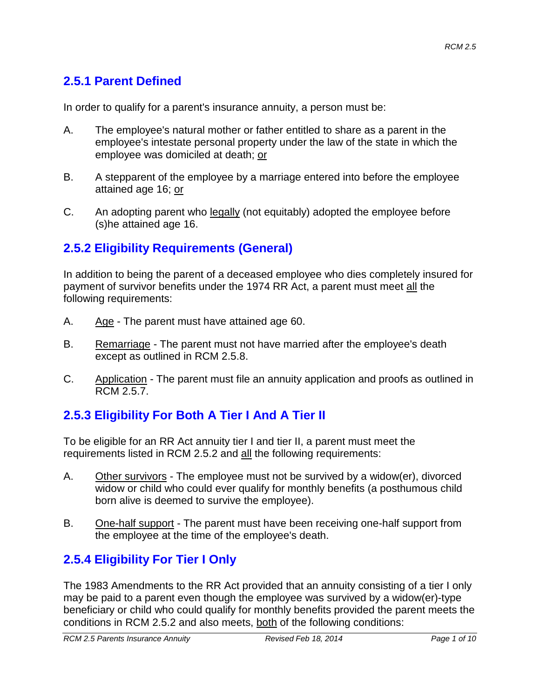## **2.5.1 Parent Defined**

In order to qualify for a parent's insurance annuity, a person must be:

- A. The employee's natural mother or father entitled to share as a parent in the employee's intestate personal property under the law of the state in which the employee was domiciled at death; or
- B. A stepparent of the employee by a marriage entered into before the employee attained age 16; or
- C. An adopting parent who legally (not equitably) adopted the employee before (s)he attained age 16.

## **2.5.2 Eligibility Requirements (General)**

In addition to being the parent of a deceased employee who dies completely insured for payment of survivor benefits under the 1974 RR Act, a parent must meet all the following requirements:

- A. Age The parent must have attained age 60.
- B. Remarriage The parent must not have married after the employee's death except as outlined in RCM 2.5.8.
- C. Application The parent must file an annuity application and proofs as outlined in RCM 2.5.7.

## **2.5.3 Eligibility For Both A Tier I And A Tier II**

To be eligible for an RR Act annuity tier I and tier II, a parent must meet the requirements listed in RCM 2.5.2 and all the following requirements:

- A. Other survivors The employee must not be survived by a widow(er), divorced widow or child who could ever qualify for monthly benefits (a posthumous child born alive is deemed to survive the employee).
- B. One-half support The parent must have been receiving one-half support from the employee at the time of the employee's death.

## **2.5.4 Eligibility For Tier I Only**

The 1983 Amendments to the RR Act provided that an annuity consisting of a tier I only may be paid to a parent even though the employee was survived by a widow(er)-type beneficiary or child who could qualify for monthly benefits provided the parent meets the conditions in RCM 2.5.2 and also meets, both of the following conditions: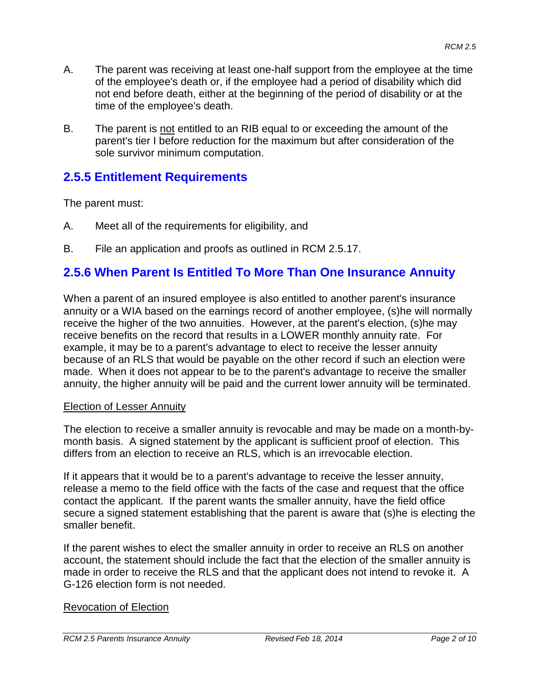- A. The parent was receiving at least one-half support from the employee at the time of the employee's death or, if the employee had a period of disability which did not end before death, either at the beginning of the period of disability or at the time of the employee's death.
- B. The parent is not entitled to an RIB equal to or exceeding the amount of the parent's tier I before reduction for the maximum but after consideration of the sole survivor minimum computation.

#### **2.5.5 Entitlement Requirements**

The parent must:

- A. Meet all of the requirements for eligibility, and
- B. File an application and proofs as outlined in RCM 2.5.17.

#### **2.5.6 When Parent Is Entitled To More Than One Insurance Annuity**

When a parent of an insured employee is also entitled to another parent's insurance annuity or a WIA based on the earnings record of another employee, (s)he will normally receive the higher of the two annuities. However, at the parent's election, (s)he may receive benefits on the record that results in a LOWER monthly annuity rate. For example, it may be to a parent's advantage to elect to receive the lesser annuity because of an RLS that would be payable on the other record if such an election were made. When it does not appear to be to the parent's advantage to receive the smaller annuity, the higher annuity will be paid and the current lower annuity will be terminated.

#### Election of Lesser Annuity

The election to receive a smaller annuity is revocable and may be made on a month-bymonth basis. A signed statement by the applicant is sufficient proof of election. This differs from an election to receive an RLS, which is an irrevocable election.

If it appears that it would be to a parent's advantage to receive the lesser annuity, release a memo to the field office with the facts of the case and request that the office contact the applicant. If the parent wants the smaller annuity, have the field office secure a signed statement establishing that the parent is aware that (s)he is electing the smaller benefit.

If the parent wishes to elect the smaller annuity in order to receive an RLS on another account, the statement should include the fact that the election of the smaller annuity is made in order to receive the RLS and that the applicant does not intend to revoke it. A G-126 election form is not needed.

#### Revocation of Election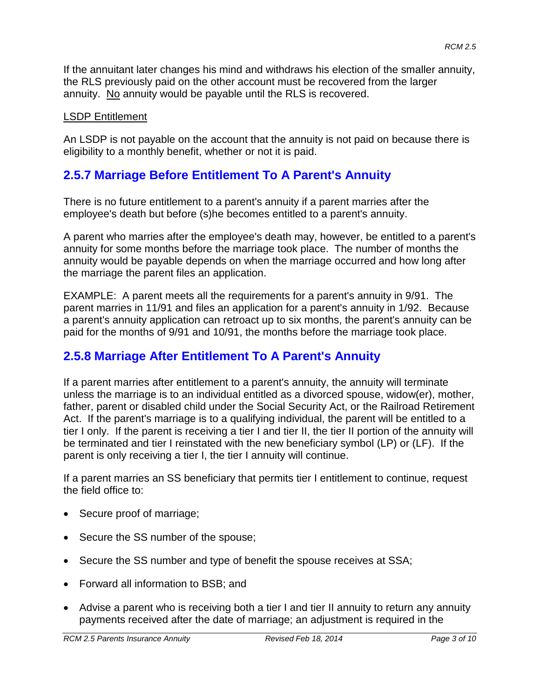If the annuitant later changes his mind and withdraws his election of the smaller annuity, the RLS previously paid on the other account must be recovered from the larger annuity. No annuity would be payable until the RLS is recovered.

#### LSDP Entitlement

An LSDP is not payable on the account that the annuity is not paid on because there is eligibility to a monthly benefit, whether or not it is paid.

#### **2.5.7 Marriage Before Entitlement To A Parent's Annuity**

There is no future entitlement to a parent's annuity if a parent marries after the employee's death but before (s)he becomes entitled to a parent's annuity.

A parent who marries after the employee's death may, however, be entitled to a parent's annuity for some months before the marriage took place. The number of months the annuity would be payable depends on when the marriage occurred and how long after the marriage the parent files an application.

EXAMPLE: A parent meets all the requirements for a parent's annuity in 9/91. The parent marries in 11/91 and files an application for a parent's annuity in 1/92. Because a parent's annuity application can retroact up to six months, the parent's annuity can be paid for the months of 9/91 and 10/91, the months before the marriage took place.

#### **2.5.8 Marriage After Entitlement To A Parent's Annuity**

If a parent marries after entitlement to a parent's annuity, the annuity will terminate unless the marriage is to an individual entitled as a divorced spouse, widow(er), mother, father, parent or disabled child under the Social Security Act, or the Railroad Retirement Act. If the parent's marriage is to a qualifying individual, the parent will be entitled to a tier I only. If the parent is receiving a tier I and tier II, the tier II portion of the annuity will be terminated and tier I reinstated with the new beneficiary symbol (LP) or (LF). If the parent is only receiving a tier I, the tier I annuity will continue.

If a parent marries an SS beneficiary that permits tier I entitlement to continue, request the field office to:

- Secure proof of marriage;
- Secure the SS number of the spouse;
- Secure the SS number and type of benefit the spouse receives at SSA;
- Forward all information to BSB; and
- Advise a parent who is receiving both a tier I and tier II annuity to return any annuity payments received after the date of marriage; an adjustment is required in the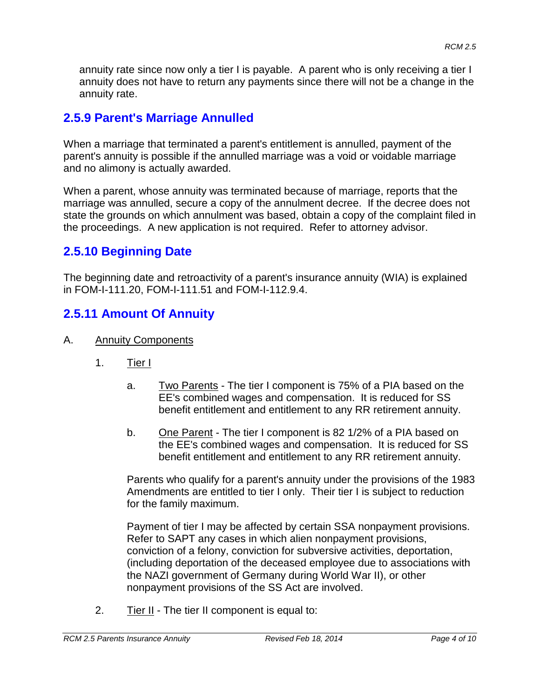annuity rate since now only a tier I is payable. A parent who is only receiving a tier I annuity does not have to return any payments since there will not be a change in the annuity rate.

## **2.5.9 Parent's Marriage Annulled**

When a marriage that terminated a parent's entitlement is annulled, payment of the parent's annuity is possible if the annulled marriage was a void or voidable marriage and no alimony is actually awarded.

When a parent, whose annuity was terminated because of marriage, reports that the marriage was annulled, secure a copy of the annulment decree. If the decree does not state the grounds on which annulment was based, obtain a copy of the complaint filed in the proceedings. A new application is not required. Refer to attorney advisor.

## **2.5.10 Beginning Date**

The beginning date and retroactivity of a parent's insurance annuity (WIA) is explained in FOM-I-111.20, FOM-I-111.51 and FOM-I-112.9.4.

## **2.5.11 Amount Of Annuity**

- A. Annuity Components
	- 1. Tier I
		- a. Two Parents The tier I component is 75% of a PIA based on the EE's combined wages and compensation. It is reduced for SS benefit entitlement and entitlement to any RR retirement annuity.
		- b. One Parent The tier I component is 82 1/2% of a PIA based on the EE's combined wages and compensation. It is reduced for SS benefit entitlement and entitlement to any RR retirement annuity.

Parents who qualify for a parent's annuity under the provisions of the 1983 Amendments are entitled to tier I only. Their tier I is subject to reduction for the family maximum.

Payment of tier I may be affected by certain SSA nonpayment provisions. Refer to SAPT any cases in which alien nonpayment provisions, conviction of a felony, conviction for subversive activities, deportation, (including deportation of the deceased employee due to associations with the NAZI government of Germany during World War II), or other nonpayment provisions of the SS Act are involved.

2. Tier II - The tier II component is equal to: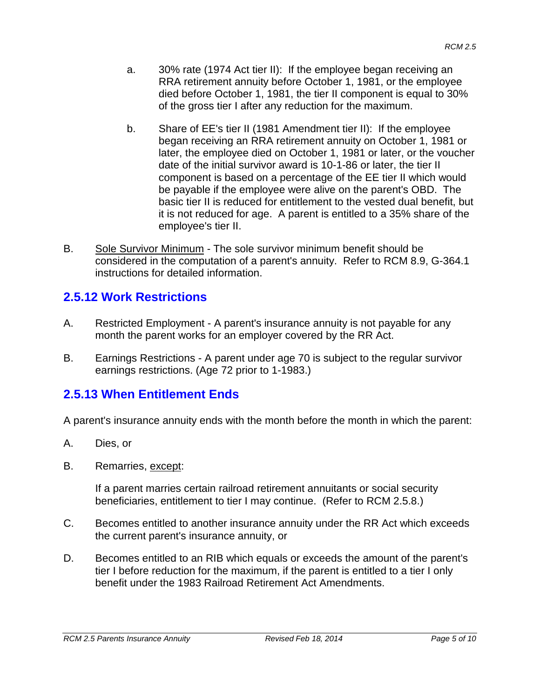- a. 30% rate (1974 Act tier II): If the employee began receiving an RRA retirement annuity before October 1, 1981, or the employee died before October 1, 1981, the tier II component is equal to 30% of the gross tier I after any reduction for the maximum.
- b. Share of EE's tier II (1981 Amendment tier II): If the employee began receiving an RRA retirement annuity on October 1, 1981 or later, the employee died on October 1, 1981 or later, or the voucher date of the initial survivor award is 10-1-86 or later, the tier II component is based on a percentage of the EE tier II which would be payable if the employee were alive on the parent's OBD. The basic tier II is reduced for entitlement to the vested dual benefit, but it is not reduced for age. A parent is entitled to a 35% share of the employee's tier II.
- B. Sole Survivor Minimum The sole survivor minimum benefit should be considered in the computation of a parent's annuity. Refer to RCM 8.9, G-364.1 instructions for detailed information.

#### **2.5.12 Work Restrictions**

- A. Restricted Employment A parent's insurance annuity is not payable for any month the parent works for an employer covered by the RR Act.
- B. Earnings Restrictions A parent under age 70 is subject to the regular survivor earnings restrictions. (Age 72 prior to 1-1983.)

#### **2.5.13 When Entitlement Ends**

A parent's insurance annuity ends with the month before the month in which the parent:

- A. Dies, or
- B. Remarries, except:

If a parent marries certain railroad retirement annuitants or social security beneficiaries, entitlement to tier I may continue. (Refer to RCM 2.5.8.)

- C. Becomes entitled to another insurance annuity under the RR Act which exceeds the current parent's insurance annuity, or
- D. Becomes entitled to an RIB which equals or exceeds the amount of the parent's tier I before reduction for the maximum, if the parent is entitled to a tier I only benefit under the 1983 Railroad Retirement Act Amendments.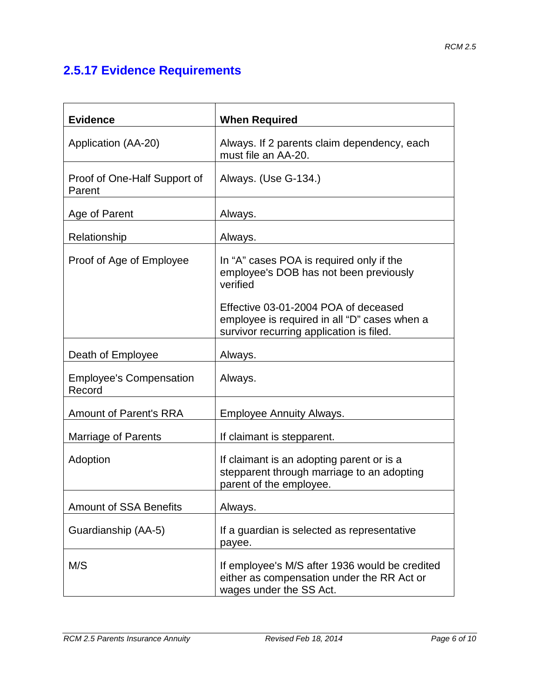# **2.5.17 Evidence Requirements**

| <b>Evidence</b>                          | <b>When Required</b>                                                                                                             |
|------------------------------------------|----------------------------------------------------------------------------------------------------------------------------------|
| Application (AA-20)                      | Always. If 2 parents claim dependency, each<br>must file an AA-20.                                                               |
| Proof of One-Half Support of<br>Parent   | Always. (Use G-134.)                                                                                                             |
| Age of Parent                            | Always.                                                                                                                          |
| Relationship                             | Always.                                                                                                                          |
| Proof of Age of Employee                 | In "A" cases POA is required only if the<br>employee's DOB has not been previously<br>verified                                   |
|                                          | Effective 03-01-2004 POA of deceased<br>employee is required in all "D" cases when a<br>survivor recurring application is filed. |
| Death of Employee                        | Always.                                                                                                                          |
| <b>Employee's Compensation</b><br>Record | Always.                                                                                                                          |
| <b>Amount of Parent's RRA</b>            | <b>Employee Annuity Always.</b>                                                                                                  |
| Marriage of Parents                      | If claimant is stepparent.                                                                                                       |
| Adoption                                 | If claimant is an adopting parent or is a<br>stepparent through marriage to an adopting<br>parent of the employee.               |
| <b>Amount of SSA Benefits</b>            | Always.                                                                                                                          |
| Guardianship (AA-5)                      | If a guardian is selected as representative<br>payee.                                                                            |
| M/S                                      | If employee's M/S after 1936 would be credited<br>either as compensation under the RR Act or<br>wages under the SS Act.          |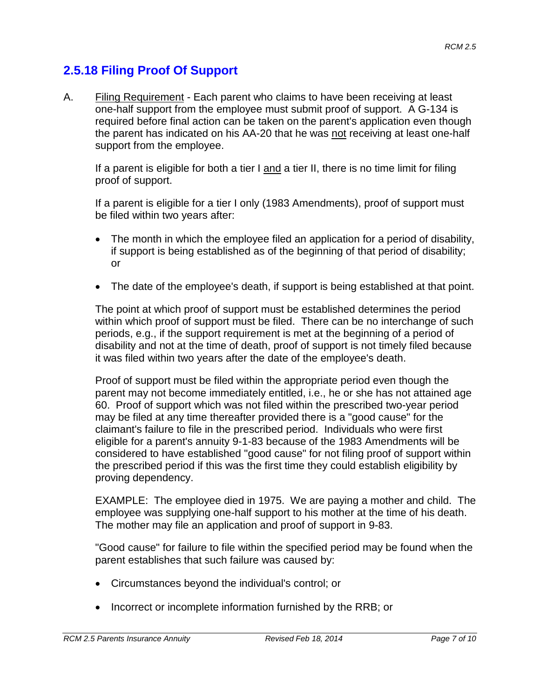## **2.5.18 Filing Proof Of Support**

A. Filing Requirement - Each parent who claims to have been receiving at least one-half support from the employee must submit proof of support. A G-134 is required before final action can be taken on the parent's application even though the parent has indicated on his AA-20 that he was not receiving at least one-half support from the employee.

If a parent is eligible for both a tier  $I$  and a tier  $II$ , there is no time limit for filing proof of support.

If a parent is eligible for a tier I only (1983 Amendments), proof of support must be filed within two years after:

- The month in which the employee filed an application for a period of disability, if support is being established as of the beginning of that period of disability; or
- The date of the employee's death, if support is being established at that point.

The point at which proof of support must be established determines the period within which proof of support must be filed. There can be no interchange of such periods, e.g., if the support requirement is met at the beginning of a period of disability and not at the time of death, proof of support is not timely filed because it was filed within two years after the date of the employee's death.

Proof of support must be filed within the appropriate period even though the parent may not become immediately entitled, i.e., he or she has not attained age 60. Proof of support which was not filed within the prescribed two-year period may be filed at any time thereafter provided there is a "good cause" for the claimant's failure to file in the prescribed period. Individuals who were first eligible for a parent's annuity 9-1-83 because of the 1983 Amendments will be considered to have established "good cause" for not filing proof of support within the prescribed period if this was the first time they could establish eligibility by proving dependency.

EXAMPLE: The employee died in 1975. We are paying a mother and child. The employee was supplying one-half support to his mother at the time of his death. The mother may file an application and proof of support in 9-83.

"Good cause" for failure to file within the specified period may be found when the parent establishes that such failure was caused by:

- Circumstances beyond the individual's control; or
- Incorrect or incomplete information furnished by the RRB; or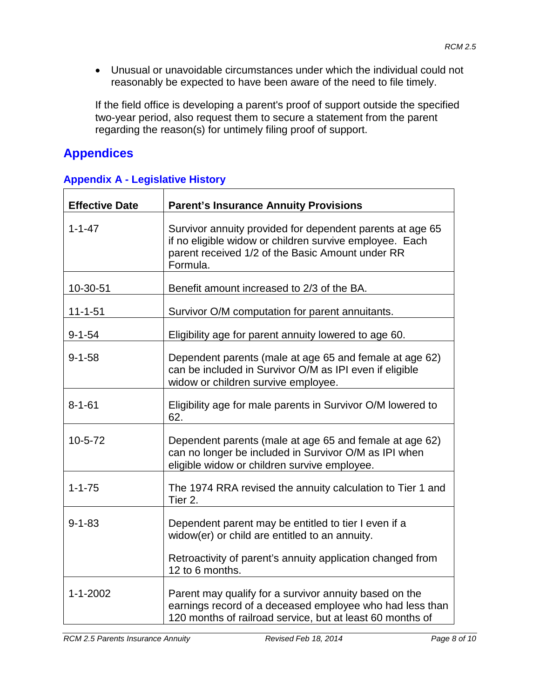• Unusual or unavoidable circumstances under which the individual could not reasonably be expected to have been aware of the need to file timely.

If the field office is developing a parent's proof of support outside the specified two-year period, also request them to secure a statement from the parent regarding the reason(s) for untimely filing proof of support.

# **Appendices**

| <b>Effective Date</b> | <b>Parent's Insurance Annuity Provisions</b>                                                                                                                                         |
|-----------------------|--------------------------------------------------------------------------------------------------------------------------------------------------------------------------------------|
| $1 - 1 - 47$          | Survivor annuity provided for dependent parents at age 65<br>if no eligible widow or children survive employee. Each<br>parent received 1/2 of the Basic Amount under RR<br>Formula. |
| 10-30-51              | Benefit amount increased to 2/3 of the BA.                                                                                                                                           |
| $11 - 1 - 51$         | Survivor O/M computation for parent annuitants.                                                                                                                                      |
| $9 - 1 - 54$          | Eligibility age for parent annuity lowered to age 60.                                                                                                                                |
| $9 - 1 - 58$          | Dependent parents (male at age 65 and female at age 62)<br>can be included in Survivor O/M as IPI even if eligible<br>widow or children survive employee.                            |
| $8 - 1 - 61$          | Eligibility age for male parents in Survivor O/M lowered to<br>62.                                                                                                                   |
| $10 - 5 - 72$         | Dependent parents (male at age 65 and female at age 62)<br>can no longer be included in Survivor O/M as IPI when<br>eligible widow or children survive employee.                     |
| $1 - 1 - 75$          | The 1974 RRA revised the annuity calculation to Tier 1 and<br>Tier 2.                                                                                                                |
| $9 - 1 - 83$          | Dependent parent may be entitled to tier I even if a<br>widow(er) or child are entitled to an annuity.<br>Retroactivity of parent's annuity application changed from                 |
|                       | 12 to 6 months.                                                                                                                                                                      |
| $1 - 1 - 2002$        | Parent may qualify for a survivor annuity based on the<br>earnings record of a deceased employee who had less than<br>120 months of railroad service, but at least 60 months of      |

#### **Appendix A - Legislative History**